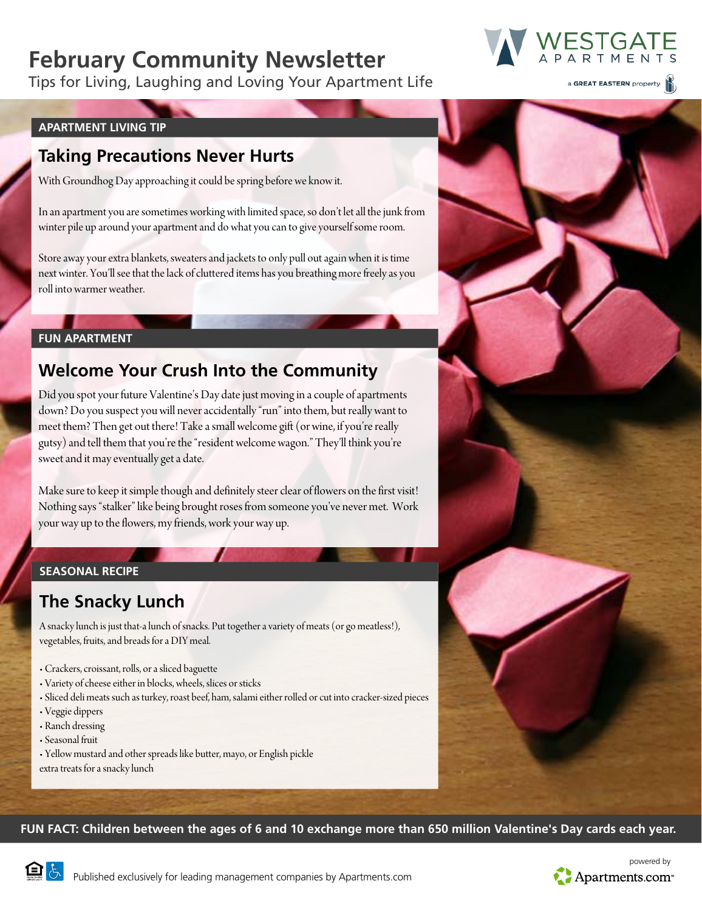# **February Community Newsletter**

Tips for Living, Laughing and Loving Your Apartment Life

a GREAT EASTERN property

ESTGAT

#### **APARTMENT LIVING TIP**

### **Taking Precautions Never Hurts**

With Groundhog Day approaching it could be spring before we know it.

In an apartment you are sometimes working with limited space, so don't let all the junk from winter pile up around your apartment and do what you can to give yourself some room.

Store away your extra blankets, sweaters and jackets to only pull out again when it is time next winter. You'll see that the lack of cluttered items has you breathing more freely as you roll into warmer weather.

#### **FUN APARTMENT**

## **Welcome Your Crush Into the Community**

Did you spot your future Valentine's Day date just moving in a couple of apartments down? Do you suspect you will never accidentally "run" into them, but really want to meet them? Then get out there! Take a small welcome gift (or wine, if you're really gutsy) and tell them that you're the "resident welcome wagon." They'll think you're sweet and it may eventually get a date.

Make sure to keep it simple though and definitely steer clear of flowers on the first visit! Nothing says "stalker" like being brought roses from someone you've never met. Work your way up to the flowers, my friends, work your way up.

### **SEASONAL RECIPE**

# **The Snacky Lunch**

A snacky lunch is just that-a lunch of snacks. Put together a variety of meats (or go meatless!), vegetables, fruits, and breads for a DIY meal.

- Crackers, croissant, rolls, or a sliced baguette
- Variety of cheese either in blocks, wheels, slices or sticks
- Sliced deli meats such as turkey, roast beef, ham, salami either rolled or cut into cracker-sized pieces
- Veggie dippers
- Ranch dressing
- Seasonal fruit
- Yellow mustard and other spreads like butter, mayo, or English pickle extra treats for a snacky lunch

**FUN FACT: Children between the ages of 6 and 10 exchange more than 650 million Valentine's Day cards each year.**